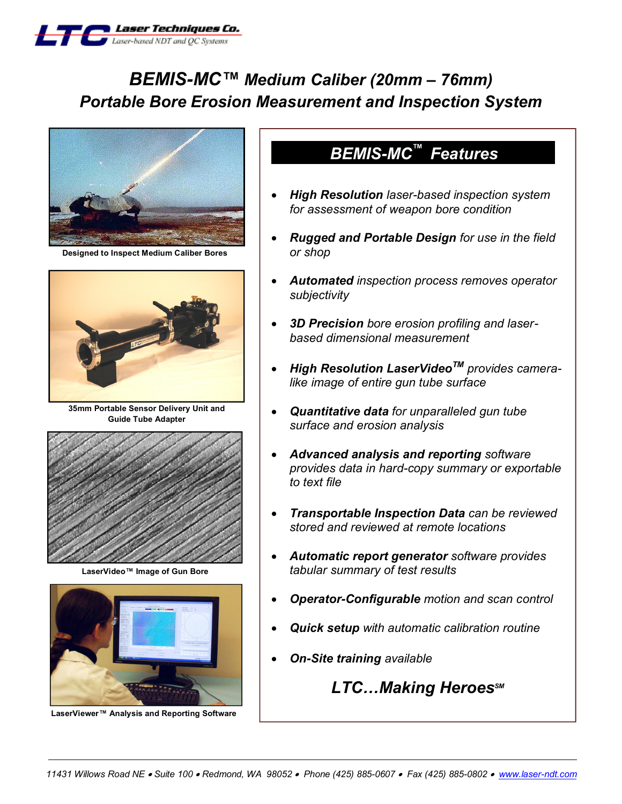

# *BEMIS-MC™ Medium Caliber (20mm – 76mm) Portable Bore Erosion Measurement and Inspection System*



**Designed to Inspect Medium Caliber Bores**



**35mm Portable Sensor Delivery Unit and Guide Tube Adapter**



**LaserVideo™ Image of Gun Bore**



**LaserViewer™ Analysis and Reporting Software**

## **BEMIS-MC<sup>™</sup> Features**

- · *High Resolution laser-based inspection system for assessment of weapon bore condition*
- · *Rugged and Portable Design for use in the field or shop*
- · *Automated inspection process removes operator subjectivity*
- · *3D Precision bore erosion profiling and laserbased dimensional measurement*
- · *High Resolution LaserVideoTM provides cameralike image of entire gun tube surface*
- · *Quantitative data for unparalleled gun tube surface and erosion analysis*
- · *Advanced analysis and reporting software provides data in hard-copy summary or exportable to text file*
- · *Transportable Inspection Data can be reviewed stored and reviewed at remote locations*
- · *Automatic report generator software provides tabular summary of test results*
- · *Operator-Configurable motion and scan control*
- · *Quick setup with automatic calibration routine*
- · *On-Site training available*

 $LTC$ *…Making Heroes<sup>sM</sup>*